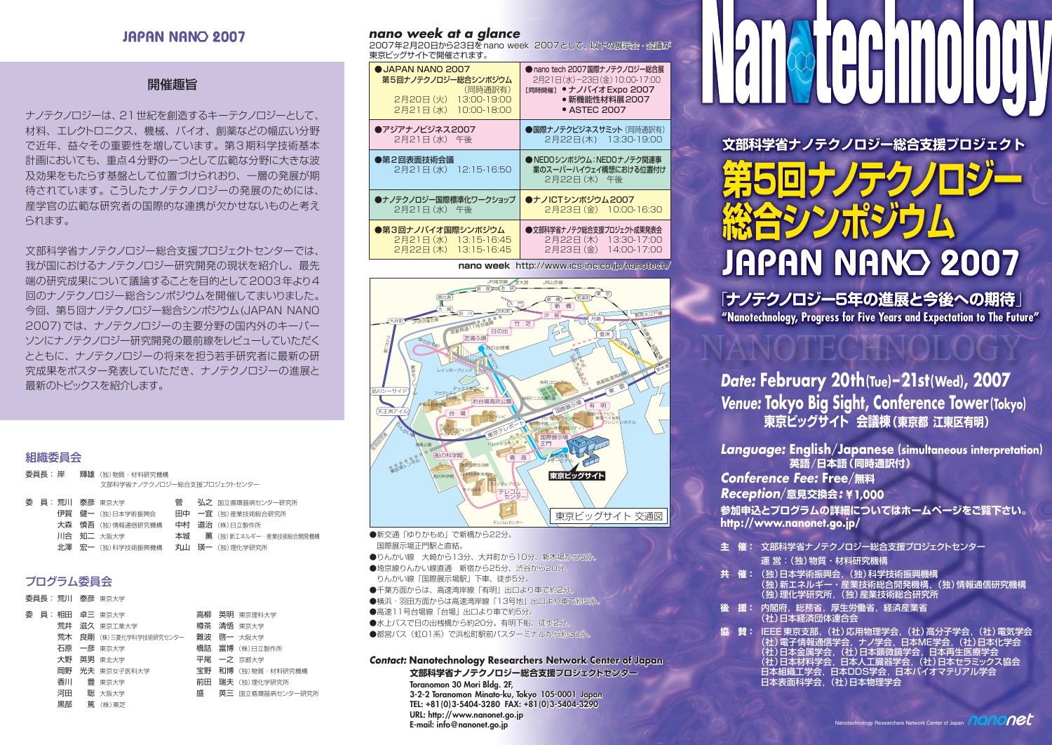# JAPAN NANO 2007

## 開催趣旨

ナノテクノロジーは、21世紀を創造するキーテクノロジーとして、 材料、エレクトロニクス、機械、バイオ、創薬などの幅広い分野 で近年、益々その重要性を増しています。第3期科学技術基本 計画においても、重点4分野の一つとして広範な分野に大きな波 及効果をもたらす基盤として位置づけられおり、一層の発展が期 待されています。こうしたナノテクノロジーの発展のためには、 産学官の広範な研究者の国際的な連携が欠かせないものと考え られます。

文部科学省ナノテクノロジー総合支援プロジェクトセンターでは、 我が国におけるナノテクノロジー研究開発の現状を紹介し、最先 端の研究成果について議論することを目的として2003年より4 回のナノテクノロジー総合シンポジウムを開催してまいりました。 今回、第5回ナノテクノロジー総合シンポジウム(JAPAN NANO 2007)では、ナノテクノロジーの主要分野の国内外のキーパー ソンにナノテクノロジー研究開発の最前線をレビューしていただく とともに、ナノテクノロジーの将来を担う若手研究者に最新の研 究成果をポスター発表していただき、ナノテクノロジーの進展と 最新のトピックスを紹介します。

#### 組織委員会

| 委員長: 岸 |  | <b>輝雄</b> (独)物質・材料研究機構      |
|--------|--|-----------------------------|
|        |  | 文部科学省ナノテクノロジー総合支援プロジェクトセンター |

|  | 菅                                                                                         | 弘之 国立循環器病センター研究所          |
|--|-------------------------------------------------------------------------------------------|---------------------------|
|  |                                                                                           | 田中 一宜 (独)産業技術総合研究所        |
|  |                                                                                           | 中村 道治 (株)日立製作所            |
|  |                                                                                           | 本城 薫 (独)新エネルギー・産業技術総合開発機構 |
|  |                                                                                           | 丸山 瑛一 (独)理化学研究所           |
|  | 委員:荒川 泰彦 東京大学<br>伊賀 健一 (独)日本学術振興会<br>大森 慎吾 (独)情報通信研究機構<br>川合 知二 大阪大学<br>北澤 宏一 (独)科学技術振興機構 |                           |

# プログラム委員会

|  |    | 委員長: 荒川 泰彦 東京大学                    |   |                    |
|--|----|------------------------------------|---|--------------------|
|  |    | 委員員:相田真三東京大学                       |   | 高柳 英明 東京理科大学       |
|  |    | 荒井 滋久 東京工業大学                       |   | 樽茶 清悟 東京大学         |
|  |    | 荒木 良剛 (株)三菱化学科学技術研究センター 難波 啓一 大阪大学 |   |                    |
|  |    | 石原 一彦 東京大学                         |   | 橋詰 富博 (株)日立製作所     |
|  |    | 大野 英男 東北大学                         |   | 平尾 一之 京都大学         |
|  |    | 岡野 光夫 東京女子医科大学                     |   | 宝野 和博 (独)物質·材料研究機構 |
|  |    | 香川 豊東京大学                           |   | 前田 瑞夫 (独)理化学研究所    |
|  |    | 河田 聡 大阪大学                          | 盛 | 英三 国立循環器病センター研究所   |
|  | 黒部 | 篇 (株)東芝                            |   |                    |

#### **nano week at a glance**

2007年2月20日から23日をnano week 2007として、以下の展示会・会議が 2007年2月20日から23日をnano 東京ビッグサイトで開催されます。 東京ビッグサイトで開催されます。

| OJAPAN NANO 2007<br>第5回ナノテクノロジー総合シンポジウム<br>(同時通訳有)<br>2月20日 (火)<br>13:00-19:00<br>$2F21E$ (水)<br>10:00-18:00 | ● nano tech 2007国際ナノテクノロジー総合展<br>2月21日(水)-23日(金)10:00-17:00<br>[同時開催] ● ナノバイオ Expo 2007<br>● 新機能性材料展2007<br>• ASTEC 2007 |
|--------------------------------------------------------------------------------------------------------------|--------------------------------------------------------------------------------------------------------------------------|
| ●アジアナノビジネス2007                                                                                               | ●国際ナノテクビジネスサミット (同時通訳有)                                                                                                  |
| 2月21日(水) 午後                                                                                                  | 2月22日(木) 13:30-19:00                                                                                                     |
| ●第2回表面技術会議<br>2月21日(水) 12:15-16:50                                                                           | ● NEDOシンポジウム:NEDOナノテク関連事<br>業のスーパーハイウェイ構想における位置付け<br>2月22日 (木) 午後                                                        |
| ●ナノテクノロジー国際標準化ワークショップ                                                                                        | ●ナノICTシンポジウム2007                                                                                                         |
| 2月21日(水) 午後                                                                                                  | 2月23日 (金) 10:00-16:30                                                                                                    |
| ●第3回ナノバイオ国際シンポジウム                                                                                            | ●文部科学省ナノテク総合支援プロジェクト成果発表会                                                                                                |
| 2月21日(水) 13:15-16:45                                                                                         | 2月22日 (木) 13:30-17:00                                                                                                    |
| 2月22日 (木) 13:15-16:45                                                                                        | 2月23日(金) 14:00-17:00                                                                                                     |

**nano week** http://www.ics-inc.co.jp/nanotech/



●新交通「ゆりかもめ」で新橋から22分。 国際展示場正門駅と直結。 ●りんかい線 大崎から13分、大井町から10分、新木場から5分。 ●埼京線りんかい線直通 新宿から25分、渋谷から20分。 りんかい線「国際展示場駅」下車、徒歩5分。 ●千葉方面からは、高速湾岸線「有明」出口より車で約2分 ●横浜・羽田方面からは高速湾岸線「13号地」出口より車で約5分。 ●高速11号台場線「台場」出口より車で約5分。 ●水上バスで日の出桟橋から約20分。有明下船、徒歩2分 ●都営バス(虹01系)で浜松町駅前バスターミナルから約30分。

**Contact: Nanotechnology Researchers Network Center of Japan 文部科学省ナノテクノロジー総合支援プロジェクトセンター Toranomon 30 Mori Bldg. 2F, 3-2-2 Toranomon Minato-ku, Tokyo 105-0001 Japan TEL: +81(0)3-5404-3280 FAX: +81(0)3-5404-3290 URL: http://www.nanonet.go.jp E-mail: info@nanonet.go.jp**

**文部科学省ナノテクノロジー総合支援プロジェクト 第5回ナノナクノロシー 谷シンポジウ JAPAN NANO 2007** 

**"Nanotechnology, Progress for Five Years and Expectation to The Future"** 「**ナノテクノロジー5年の進展と今後への期待**」

**Date: February 20th(Tue)–21st(Wed), 2007 Venue: Tokyo Big Sight, Conference Tower (Tokyo) 東京ビッグサイト 会議棟(東京都 江東区有明)**

**Language: English**/**Japanese (simultaneous interpretation) 英語**/**日本語(同時通訳付)**

**Conference Fee: Free**/**無料**

**Reception**/**意見交換会: ¥1,000**

**参加申込とプログラムの詳細についてはホームページをご覧下さい。 http://www.nanonet.go.jp/**

- **主 催:** 文部科学省ナノテクノロジー総合支援プロジェクトセンター
	- 運 営:(独)物質・材料研究機構
- **共 催:** (独)日本学術振興会,(独)科学技術振興機構 (独)新エネルギー・産業技術総合開発機構,(独)情報通信研究機構 (独)理化学研究所,(独)産業技術総合研究所
- **後 援:** 内閣府,総務省,厚生労働省,経済産業省 (社)日本経済団体連合会
- 協 賛: IEEE 東京支部, (社)応用物理学会, (社)高分子学会, (社)電気学会<br>(社)電子情報通信学会, ナノ学会, 日本ME学会, (社)日本化学会 (社)日本金属学会,(社)日本顕微鏡学会,日本再生医療学会 (社)日本材料学会,日本人工臓器学会,(社)日本セラミックス協会 **ロ本組織工学会,日本DDS学会,日本バイオマテリアル学会** 日本表面科学会,(社)日本物理学会

plogy Researchers Network Center of Japan nanon $\overline{0}$